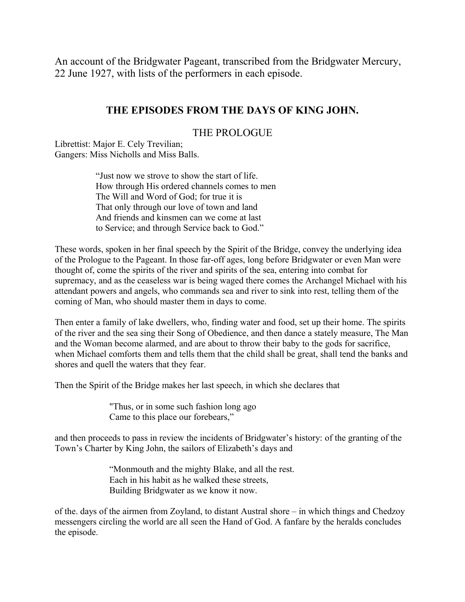An account of the Bridgwater Pageant, transcribed from the Bridgwater Mercury, 22 June 1927, with lists of the performers in each episode.

# THE EPISODES FROM THE DAYS OF KING JOHN.

## THE PROLOGUE

Librettist: Major E. Cely Trevilian; Gangers: Miss Nicholls and Miss Balls.

> "Just now we strove to show the start of life. How through His ordered channels comes to men The Will and Word of God; for true it is That only through our love of town and land And friends and kinsmen can we come at last to Service; and through Service back to God."

These words, spoken in her final speech by the Spirit of the Bridge, convey the underlying idea of the Prologue to the Pageant. In those far-off ages, long before Bridgwater or even Man were thought of, come the spirits of the river and spirits of the sea, entering into combat for supremacy, and as the ceaseless war is being waged there comes the Archangel Michael with his attendant powers and angels, who commands sea and river to sink into rest, telling them of the coming of Man, who should master them in days to come.

Then enter a family of lake dwellers, who, finding water and food, set up their home. The spirits of the river and the sea sing their Song of Obedience, and then dance a stately measure, The Man and the Woman become alarmed, and are about to throw their baby to the gods for sacrifice, when Michael comforts them and tells them that the child shall be great, shall tend the banks and shores and quell the waters that they fear.

Then the Spirit of the Bridge makes her last speech, in which she declares that

"Thus, or in some such fashion long ago Came to this place our forebears,"

and then proceeds to pass in review the incidents of Bridgwater's history: of the granting of the Town's Charter by King John, the sailors of Elizabeth's days and

> "Monmouth and the mighty Blake, and all the rest. Each in his habit as he walked these streets, Building Bridgwater as we know it now.

of the days of the airmen from Zoyland, to distant Austral shore – in which things and Chedzoy messengers circling the world are all seen the Hand of God. A fanfare by the heralds concludes the episode.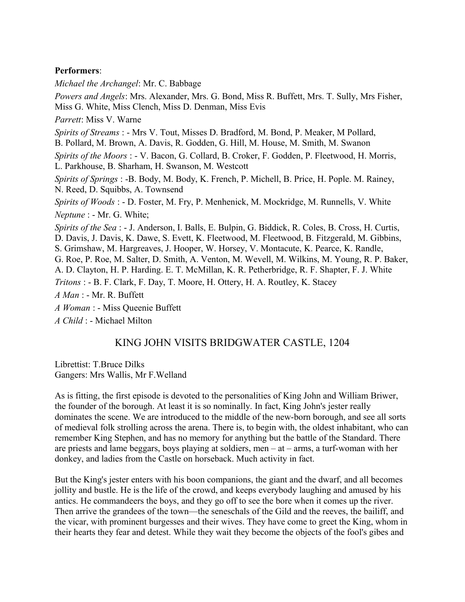### Performers<sup>.</sup>

Michael the Archangel: Mr. C. Babbage

Powers and Angels: Mrs. Alexander, Mrs. G. Bond, Miss R. Buffett, Mrs. T. Sully, Mrs Fisher, Miss G. White, Miss Clench, Miss D. Denman, Miss Evis *Parrett:* Miss V. Warne Spirits of Streams: - Mrs V. Tout, Misses D. Bradford, M. Bond, P. Meaker, M Pollard, B. Pollard, M. Brown, A. Davis, R. Godden, G. Hill, M. House, M. Smith, M. Swanon Spirits of the Moors: - V. Bacon, G. Collard, B. Croker, F. Godden, P. Fleetwood, H. Morris, L. Parkhouse, B. Sharham, H. Swanson, M. Westcott Spirits of Springs: -B. Body, M. Body, K. French, P. Michell, B. Price, H. Pople. M. Rainey, N. Reed, D. Squibbs, A. Townsend Spirits of Woods : - D. Foster, M. Fry, P. Menhenick, M. Mockridge, M. Runnells, V. White *Neptune* : - Mr. G. White; Spirits of the Sea : - J. Anderson, I. Balls, E. Bulpin, G. Biddick, R. Coles, B. Cross, H. Curtis, D. Davis, J. Davis, K. Dawe, S. Evett, K. Fleetwood, M. Fleetwood, B. Fitzgerald, M. Gibbins, S. Grimshaw, M. Hargreaves, J. Hooper, W. Horsey, V. Montacute, K. Pearce, K. Randle, G. Roe, P. Roe, M. Salter, D. Smith, A. Venton, M. Wevell, M. Wilkins, M. Young, R. P. Baker, A. D. Clayton, H. P. Harding, E. T. McMillan, K. R. Petherbridge, R. F. Shapter, F. J. White *Tritons* : - B. F. Clark, F. Day, T. Moore, H. Ottery, H. A. Routley, K. Stacey A Man : - Mr. R. Buffett A Woman: - Miss Oueenie Buffett *A Child* : - Michael Milton

## KING JOHN VISITS BRIDGWATER CASTLE, 1204

Librettist: T.Bruce Dilks Gangers: Mrs Wallis, Mr F. Welland

As is fitting, the first episode is devoted to the personalities of King John and William Briwer, the founder of the borough. At least it is so nominally. In fact, King John's jester really dominates the scene. We are introduced to the middle of the new-born borough, and see all sorts of medieval folk strolling across the arena. There is, to begin with, the oldest inhabitant, who can remember King Stephen, and has no memory for anything but the battle of the Standard. There are priests and lame beggars, boys playing at soldiers, men  $-$  at  $-$  arms, a turf-woman with her donkey, and ladies from the Castle on horseback. Much activity in fact.

But the King's jester enters with his boon companions, the giant and the dwarf, and all becomes jollity and bustle. He is the life of the crowd, and keeps everybody laughing and amused by his antics. He commandeers the boys, and they go off to see the bore when it comes up the river. Then arrive the grandees of the town—the seneschals of the Gild and the reeves, the bailiff, and the vicar, with prominent burgesses and their wives. They have come to greet the King, whom in their hearts they fear and detest. While they wait they become the objects of the fool's gibes and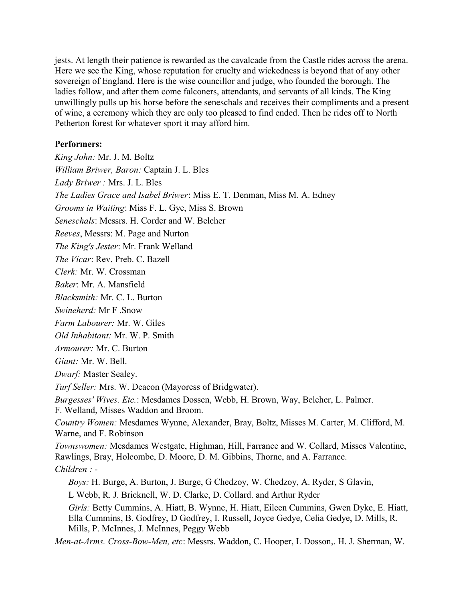jests. At length their patience is rewarded as the cavalcade from the Castle rides across the arena. Here we see the King, whose reputation for cruelty and wickedness is beyond that of any other sovereign of England. Here is the wise councillor and judge, who founded the borough. The ladies follow, and after them come falconers, attendants, and servants of all kinds. The King unwillingly pulls up his horse before the seneschals and receives their compliments and a present of wine, a ceremony which they are only too pleased to find ended. Then he rides off to North Petherton forest for whatever sport it may afford him.

### **Performers:**

King John: Mr. J. M. Boltz William Briwer, Baron: Captain J. L. Bles Lady Briwer: Mrs. J. L. Bles The Ladies Grace and Isabel Briwer: Miss E. T. Denman, Miss M. A. Edney Grooms in Waiting: Miss F. L. Gye, Miss S. Brown Seneschals: Messrs. H. Corder and W. Belcher Reeves, Messrs: M. Page and Nurton The King's Jester: Mr. Frank Welland The Vicar: Rev. Preb. C. Bazell Clerk: Mr. W. Crossman Baker: Mr. A. Mansfield Blacksmith: Mr. C. L. Burton Swineherd: Mr F. Snow *Farm Labourer: Mr. W. Giles Old Inhabitant: Mr. W. P. Smith* Armourer: Mr. C. Burton Giant: Mr. W. Bell. Dwarf: Master Sealey. Turf Seller: Mrs. W. Deacon (Mayoress of Bridgwater). Burgesses' Wives. Etc.: Mesdames Dossen, Webb, H. Brown, Way, Belcher, L. Palmer. F. Welland, Misses Waddon and Broom. Country Women: Mesdames Wynne, Alexander, Bray, Boltz, Misses M. Carter, M. Clifford, M. Warne, and F. Robinson *Townswomen:* Mesdames Westgate, Highman, Hill, Farrance and W. Collard, Misses Valentine, Rawlings, Bray, Holcombe, D. Moore, D. M. Gibbins, Thorne, and A. Farrance.  $Children: -$ *Boys:* H. Burge, A. Burton, J. Burge, G Chedzoy, W. Chedzoy, A. Ryder, S Glavin, L Webb, R. J. Bricknell, W. D. Clarke, D. Collard, and Arthur Ryder Girls: Betty Cummins, A. Hiatt, B. Wynne, H. Hiatt, Eileen Cummins, Gwen Dyke, E. Hiatt, Ella Cummins, B. Godfrey, D. Godfrey, I. Russell, Joyce Gedye, Celia Gedye, D. Mills, R. Mills, P. McInnes, J. McInnes, Peggy Webb Men-at-Arms. Cross-Bow-Men, etc: Messrs. Waddon, C. Hooper, L Dosson, H. J. Sherman, W.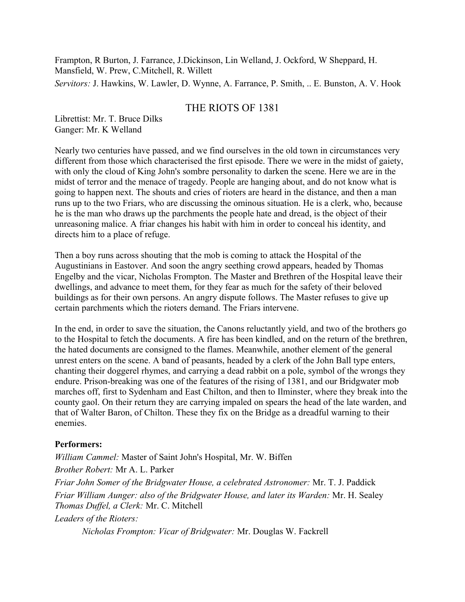Frampton, R Burton, J. Farrance, J.Dickinson, Lin Welland, J. Ockford, W Sheppard, H. Mansfield, W. Prew, C. Mitchell, R. Willett Servitors: J. Hawkins, W. Lawler, D. Wynne, A. Farrance, P. Smith, .. E. Bunston, A. V. Hook

## THE RIOTS OF 1381

Librettist: Mr. T. Bruce Dilks Ganger: Mr. K Welland

Nearly two centuries have passed, and we find ourselves in the old town in circumstances very different from those which characterised the first episode. There we were in the midst of gaiety, with only the cloud of King John's sombre personality to darken the scene. Here we are in the midst of terror and the menace of tragedy. People are hanging about, and do not know what is going to happen next. The shouts and cries of rioters are heard in the distance, and then a man runs up to the two Friars, who are discussing the ominous situation. He is a clerk, who, because he is the man who draws up the parchments the people hate and dread, is the object of their unreasoning malice. A friar changes his habit with him in order to conceal his identity, and directs him to a place of refuge.

Then a boy runs across shouting that the mob is coming to attack the Hospital of the Augustinians in Eastover. And soon the angry seething crowd appears, headed by Thomas Engelby and the vicar, Nicholas Frompton. The Master and Brethren of the Hospital leave their dwellings, and advance to meet them, for they fear as much for the safety of their beloved buildings as for their own persons. An angry dispute follows. The Master refuses to give up certain parchments which the rioters demand. The Friars intervene.

In the end, in order to save the situation, the Canons reluctantly yield, and two of the brothers go to the Hospital to fetch the documents. A fire has been kindled, and on the return of the brethren, the hated documents are consigned to the flames. Meanwhile, another element of the general unrest enters on the scene. A band of peasants, headed by a clerk of the John Ball type enters, chanting their doggerel rhymes, and carrying a dead rabbit on a pole, symbol of the wrongs they endure. Prison-breaking was one of the features of the rising of 1381, and our Bridgwater mob marches off, first to Sydenham and East Chilton, and then to Ilminster, where they break into the county gaol. On their return they are carrying impaled on spears the head of the late warden, and that of Walter Baron, of Chilton. These they fix on the Bridge as a dreadful warning to their enemies.

### **Performers:**

William Cammel: Master of Saint John's Hospital, Mr. W. Biffen Brother Robert: Mr A. L. Parker Friar John Somer of the Bridgwater House, a celebrated Astronomer: Mr. T. J. Paddick Friar William Aunger: also of the Bridgwater House, and later its Warden: Mr. H. Sealey Thomas Duffel, a Clerk: Mr. C. Mitchell Leaders of the Rioters:

Nicholas Frompton: Vicar of Bridgwater: Mr. Douglas W. Fackrell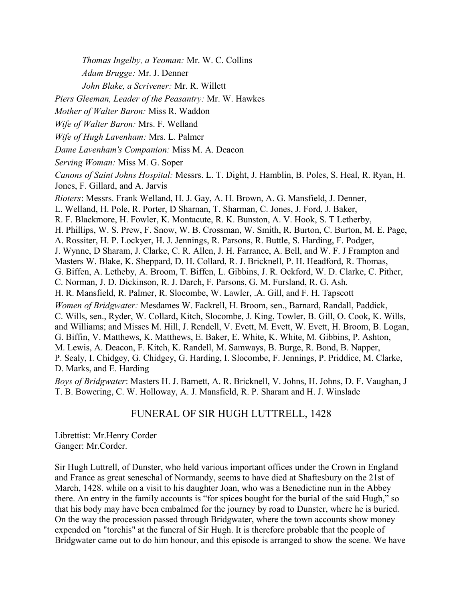Thomas Ingelby, a Yeoman: Mr. W. C. Collins

Adam Brugge: Mr. J. Denner

John Blake, a Scrivener: Mr. R. Willett

Piers Gleeman, Leader of the Peasantry: Mr. W. Hawkes

Mother of Walter Baron: Miss R. Waddon

Wife of Walter Baron: Mrs. F. Welland

Wife of Hugh Lavenham: Mrs. L. Palmer

Dame Lavenham's Companion: Miss M. A. Deacon

Serving Woman: Miss M. G. Soper

Canons of Saint Johns Hospital: Messrs. L. T. Dight, J. Hamblin, B. Poles, S. Heal, R. Ryan, H. Jones, F. Gillard, and A. Jarvis

Rioters: Messrs. Frank Welland, H. J. Gay, A. H. Brown, A. G. Mansfield, J. Denner,

L. Welland, H. Pole, R. Porter, D Sharnan, T. Sharman, C. Jones, J. Ford, J. Baker,

R. F. Blackmore, H. Fowler, K. Montacute, R. K. Bunston, A. V. Hook, S. T Letherby,

H. Phillips, W. S. Prew, F. Snow, W. B. Crossman, W. Smith, R. Burton, C. Burton, M. E. Page,

A. Rossiter, H. P. Lockyer, H. J. Jennings, R. Parsons, R. Buttle, S. Harding, F. Podger,

J. Wynne, D Sharam, J. Clarke, C. R. Allen, J. H. Farrance, A. Bell, and W. F. J Frampton and

Masters W. Blake, K. Sheppard, D. H. Collard, R. J. Bricknell, P. H. Headford, R. Thomas,

G. Biffen, A. Letheby, A. Broom, T. Biffen, L. Gibbins, J. R. Ockford, W. D. Clarke, C. Pither,

C. Norman, J. D. Dickinson, R. J. Darch, F. Parsons, G. M. Fursland, R. G. Ash.

H. R. Mansfield, R. Palmer, R. Slocombe, W. Lawler, .A. Gill, and F. H. Tapscott

Women of Bridgwater: Mesdames W. Fackrell, H. Broom, sen., Barnard, Randall, Paddick,

C. Wills, sen., Ryder, W. Collard, Kitch, Slocombe, J. King, Towler, B. Gill, O. Cook, K. Wills,

and Williams; and Misses M. Hill, J. Rendell, V. Evett, M. Evett, W. Evett, H. Broom, B. Logan,

G. Biffin, V. Matthews, K. Matthews, E. Baker, E. White, K. White, M. Gibbins, P. Ashton,

M. Lewis, A. Deacon, F. Kitch, K. Randell, M. Samways, B. Burge, R. Bond, B. Napper,

P. Sealy, I. Chidgey, G. Chidgey, G. Harding, I. Slocombe, F. Jennings, P. Priddice, M. Clarke, D. Marks, and E. Harding

Boys of Bridgwater: Masters H. J. Barnett, A. R. Bricknell, V. Johns, H. Johns, D. F. Vaughan, J. T. B. Bowering, C. W. Holloway, A. J. Mansfield, R. P. Sharam and H. J. Winslade

# FUNERAL OF SIR HUGH LUTTRELL, 1428

Librettist: Mr.Henry Corder Ganger: Mr.Corder.

Sir Hugh Luttrell, of Dunster, who held various important offices under the Crown in England and France as great seneschal of Normandy, seems to have died at Shaftesbury on the 21st of March, 1428. while on a visit to his daughter Joan, who was a Benedictine nun in the Abbey there. An entry in the family accounts is "for spices bought for the burial of the said Hugh," so that his body may have been embalmed for the journey by road to Dunster, where he is buried. On the way the procession passed through Bridgwater, where the town accounts show money expended on "torchis" at the funeral of Sir Hugh. It is therefore probable that the people of Bridgwater came out to do him honour, and this episode is arranged to show the scene. We have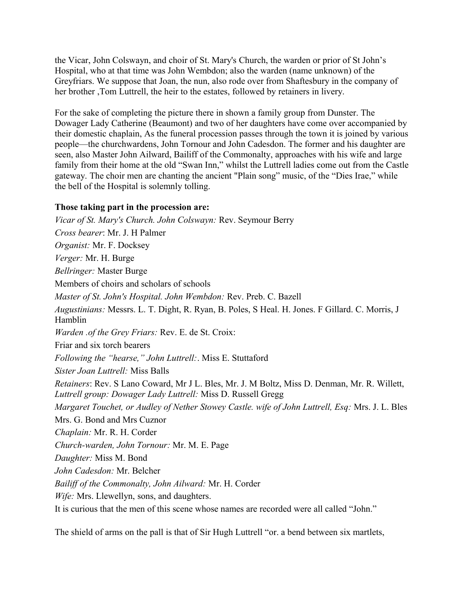the Vicar, John Colswayn, and choir of St. Mary's Church, the warden or prior of St John's Hospital, who at that time was John Wembdon; also the warden (name unknown) of the Greyfriars. We suppose that Joan, the nun, also rode over from Shaftesbury in the company of her brother ,Tom Luttrell, the heir to the estates, followed by retainers in livery.

For the sake of completing the picture there in shown a family group from Dunster. The Dowager Lady Catherine (Beaumont) and two of her daughters have come over accompanied by their domestic chaplain, As the funeral procession passes through the town it is joined by various people—the churchwardens, John Tornour and John Cadesdon. The former and his daughter are seen, also Master John Ailward, Bailiff of the Commonalty, approaches with his wife and large family from their home at the old "Swan Inn," whilst the Luttrell ladies come out from the Castle gateway. The choir men are chanting the ancient "Plain song" music, of the "Dies Irae," while the bell of the Hospital is solemnly tolling.

### Those taking part in the procession are:

Vicar of St. Mary's Church. John Colswayn: Rev. Seymour Berry Cross bearer: Mr. J. H Palmer Organist: Mr. F. Docksey Verger: Mr. H. Burge Bellringer: Master Burge Members of choirs and scholars of schools Master of St. John's Hospital. John Wembdon: Rev. Preb. C. Bazell Augustinians: Messrs. L. T. Dight, R. Ryan, B. Poles, S Heal. H. Jones. F Gillard. C. Morris, J Hamblin *Warden .of the Grey Friars: Rev. E. de St. Croix:* Friar and six torch bearers Following the "hearse," John Luttrell: Miss E. Stuttaford *Sister Joan Luttrell: Miss Balls* Retainers: Rev. S Lano Coward, Mr J L. Bles, Mr. J. M Boltz, Miss D. Denman, Mr. R. Willett, Luttrell group: Dowager Lady Luttrell: Miss D. Russell Gregg Margaret Touchet, or Audley of Nether Stowey Castle, wife of John Luttrell, Esq. Mrs. J. L. Bles Mrs. G. Bond and Mrs. Cuznor Chaplain: Mr. R. H. Corder Church-warden, John Tornour: Mr. M. E. Page Daughter: Miss M. Bond John Cadesdon: Mr. Belcher Bailiff of the Commonalty, John Ailward: Mr. H. Corder Wife: Mrs. Llewellyn, sons, and daughters. It is curious that the men of this scene whose names are recorded were all called "John."

The shield of arms on the pall is that of Sir Hugh Luttrell "or, a bend between six martlets,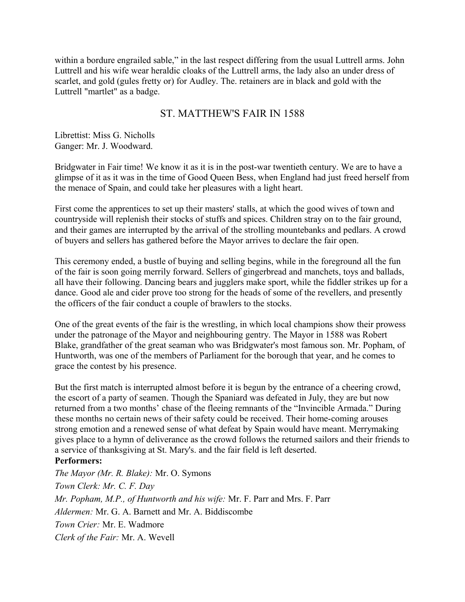within a bordure engrailed sable," in the last respect differing from the usual Luttrell arms. John Luttrell and his wife wear heraldic cloaks of the Luttrell arms, the lady also an under dress of scarlet, and gold (gules fretty or) for Audley. The retainers are in black and gold with the Luttrell "martlet" as a badge.

# ST. MATTHEW'S FAIR IN 1588

Librettist: Miss G. Nicholls Ganger: Mr. J. Woodward.

Bridgwater in Fair time! We know it as it is in the post-war twentieth century. We are to have a glimpse of it as it was in the time of Good Queen Bess, when England had just freed herself from the menace of Spain, and could take her pleasures with a light heart.

First come the apprentices to set up their masters' stalls, at which the good wives of town and countryside will replenish their stocks of stuffs and spices. Children stray on to the fair ground, and their games are interrupted by the arrival of the strolling mountebanks and pedlars. A crowd of buyers and sellers has gathered before the Mayor arrives to declare the fair open.

This ceremony ended, a bustle of buying and selling begins, while in the foreground all the fun of the fair is soon going merrily forward. Sellers of gingerbread and manchets, toys and ballads, all have their following. Dancing bears and jugglers make sport, while the fiddler strikes up for a dance. Good ale and cider prove too strong for the heads of some of the revellers, and presently the officers of the fair conduct a couple of brawlers to the stocks.

One of the great events of the fair is the wrestling, in which local champions show their prowess under the patronage of the Mayor and neighbouring gentry. The Mayor in 1588 was Robert Blake, grandfather of the great seaman who was Bridgwater's most famous son. Mr. Popham, of Huntworth, was one of the members of Parliament for the borough that year, and he comes to grace the contest by his presence.

But the first match is interrupted almost before it is begun by the entrance of a cheering crowd. the escort of a party of seamen. Though the Spaniard was defeated in July, they are but now returned from a two months' chase of the fleeing remnants of the "Invincible Armada." During these months no certain news of their safety could be received. Their home-coming arouses strong emotion and a renewed sense of what defeat by Spain would have meant. Merrymaking gives place to a hymn of deliverance as the crowd follows the returned sailors and their friends to a service of thanksgiving at St. Mary's. and the fair field is left deserted. **Performers:** 

The Mayor (Mr. R. Blake): Mr. O. Symons Town Clerk: Mr. C. F. Day Mr. Popham, M.P., of Huntworth and his wife: Mr. F. Parr and Mrs. F. Parr *Aldermen:* Mr. G. A. Barnett and Mr. A. Biddiscombe Town Crier: Mr E Wadmore Clerk of the Fair: Mr. A. Wevell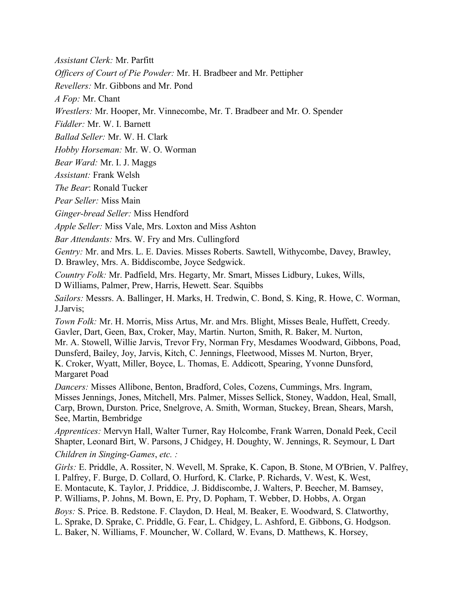*Assistant Clerk: Mr. Parfitt* 

Officers of Court of Pie Powder: Mr. H. Bradbeer and Mr. Pettipher

Revellers: Mr. Gibbons and Mr. Pond

A Fop: Mr. Chant

Wrestlers: Mr. Hooper, Mr. Vinnecombe, Mr. T. Bradbeer and Mr. O. Spender

Fiddler: Mr. W. I. Barnett

Ballad Seller: Mr. W. H. Clark

Hobby Horseman: Mr. W. O. Worman

Bear Ward: Mr. I. J. Maggs

Assistant: Frank Welsh

The Bear: Ronald Tucker

Pear Seller: Miss Main

Ginger-bread Seller: Miss Hendford

*Apple Seller:* Miss Vale, Mrs. Loxton and Miss Ashton

Bar Attendants: Mrs. W. Fry and Mrs. Cullingford

Gentry: Mr. and Mrs. L. E. Davies. Misses Roberts. Sawtell, Withycombe, Davey, Brawley, D. Brawley, Mrs. A. Biddiscombe, Joyce Sedgwick.

Country Folk: Mr. Padfield, Mrs. Hegarty, Mr. Smart, Misses Lidbury, Lukes, Wills, D Williams, Palmer, Prew, Harris, Hewett. Sear. Squibbs

Sailors: Messrs. A. Ballinger, H. Marks, H. Tredwin, C. Bond, S. King, R. Howe, C. Worman, J.Jarvis;

Town Folk: Mr. H. Morris, Miss Artus, Mr. and Mrs. Blight, Misses Beale, Huffett, Creedy. Gavler, Dart, Geen, Bax, Croker, May, Martin. Nurton, Smith, R. Baker, M. Nurton, Mr. A. Stowell, Willie Jarvis, Trevor Fry, Norman Fry, Mesdames Woodward, Gibbons, Poad, Dunsferd, Bailey, Joy, Jarvis, Kitch, C. Jennings, Fleetwood, Misses M. Nurton, Bryer, K. Croker, Wyatt, Miller, Boyce, L. Thomas, E. Addicott, Spearing, Yvonne Dunsford, Margaret Poad

*Dancers:* Misses Allibone, Benton, Bradford, Coles, Cozens, Cummings, Mrs. Ingram, Misses Jennings, Jones, Mitchell, Mrs. Palmer, Misses Sellick, Stoney, Waddon, Heal, Small, Carp, Brown, Durston. Price, Snelgrove, A. Smith, Worman, Stuckey, Brean, Shears, Marsh, See, Martin, Bembridge

Apprentices: Mervyn Hall, Walter Turner, Ray Holcombe, Frank Warren, Donald Peek, Cecil Shapter, Leonard Birt, W. Parsons, J Chidgey, H. Doughty, W. Jennings, R. Seymour, L Dart Children in Singing-Games, etc.:

Girls: E. Priddle, A. Rossiter, N. Wevell, M. Sprake, K. Capon, B. Stone, M O'Brien, V. Palfrey, I. Palfrey, F. Burge, D. Collard, O. Hurford, K. Clarke, P. Richards, V. West, K. West, E. Montacute, K. Taylor, J. Priddice, J. Biddiscombe, J. Walters, P. Beecher, M. Bamsey, P. Williams, P. Johns, M. Bown, E. Pry, D. Popham, T. Webber, D. Hobbs, A. Organ Boys: S. Price. B. Redstone. F. Claydon, D. Heal, M. Beaker, E. Woodward, S. Clatworthy,

L. Sprake, D. Sprake, C. Priddle, G. Fear, L. Chidgey, L. Ashford, E. Gibbons, G. Hodgson.

L. Baker, N. Williams, F. Mouncher, W. Collard, W. Evans, D. Matthews, K. Horsey,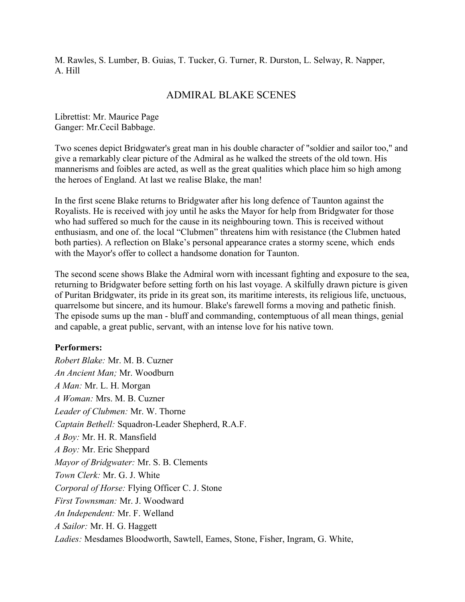M. Rawles, S. Lumber, B. Guias, T. Tucker, G. Turner, R. Durston, L. Selway, R. Napper, A Hill

### **ADMIRAL BLAKE SCENES**

Librettist: Mr. Maurice Page Ganger: Mr.Cecil Babbage.

Two scenes depict Bridgwater's great man in his double character of "soldier and sailor too," and give a remarkably clear picture of the Admiral as he walked the streets of the old town. His mannerisms and foibles are acted, as well as the great qualities which place him so high among the heroes of England. At last we realise Blake, the man!

In the first scene Blake returns to Bridgwater after his long defence of Taunton against the Royalists. He is received with joy until he asks the Mayor for help from Bridgwater for those who had suffered so much for the cause in its neighbouring town. This is received without enthusiasm, and one of. the local "Clubmen" threatens him with resistance (the Clubmen hated both parties). A reflection on Blake's personal appearance crates a stormy scene, which ends with the Mayor's offer to collect a handsome donation for Taunton.

The second scene shows Blake the Admiral worn with incessant fighting and exposure to the sea. returning to Bridgwater before setting forth on his last voyage. A skilfully drawn picture is given of Puritan Bridgwater, its pride in its great son, its maritime interests, its religious life, unctuous, quarrelsome but sincere, and its humour. Blake's farewell forms a moving and pathetic finish. The episode sums up the man - bluff and commanding, contemptuous of all mean things, genial and capable, a great public, servant, with an intense love for his native town.

#### **Performers:**

Robert Blake: Mr. M. B. Cuzner An Ancient Man; Mr. Woodburn A Man: Mr. L. H. Morgan A Woman: Mrs. M. B. Cuzner Leader of Clubmen: Mr. W. Thorne Captain Bethell: Squadron-Leader Shepherd, R.A.F. A Boy: Mr. H. R. Mansfield A Boy: Mr. Eric Sheppard Mayor of Bridgwater: Mr. S. B. Clements Town Clerk: Mr. G. J. White Corporal of Horse: Flying Officer C. J. Stone First Townsman: Mr. J. Woodward An Independent: Mr. F. Welland A Sailor: Mr. H. G. Haggett Ladies: Mesdames Bloodworth, Sawtell, Eames, Stone, Fisher, Ingram, G. White,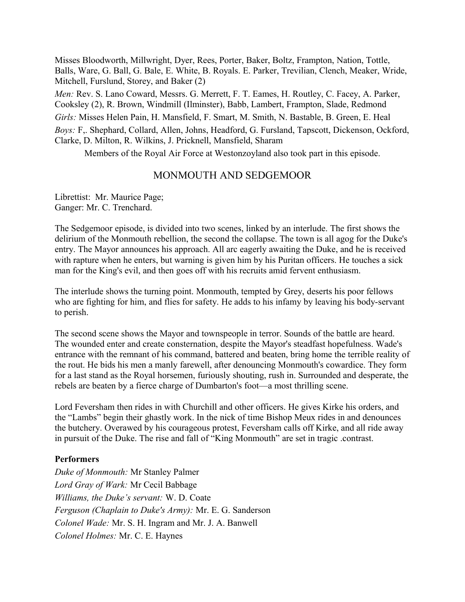Misses Bloodworth, Millwright, Dyer, Rees, Porter, Baker, Boltz, Frampton, Nation, Tottle, Balls, Ware, G. Ball, G. Bale, E. White, B. Royals. E. Parker, Trevilian, Clench, Meaker, Wride, Mitchell, Furslund, Storey, and Baker (2) Men: Rev. S. Lano Coward, Messrs. G. Merrett, F. T. Eames, H. Routley, C. Facey, A. Parker, Cooksley (2), R. Brown, Windmill (Ilminster), Babb, Lambert, Frampton, Slade, Redmond Girls: Misses Helen Pain, H. Mansfield, F. Smart, M. Smith, N. Bastable, B. Green, E. Heal Boys: F., Shephard, Collard, Allen, Johns, Headford, G. Fursland, Tapscott, Dickenson, Ockford, Clarke, D. Milton, R. Wilkins, J. Pricknell, Mansfield, Sharam

Members of the Royal Air Force at Westonzoyland also took part in this episode.

# MONMOUTH AND SEDGEMOOR

Librettist: Mr. Maurice Page; Ganger: Mr. C. Trenchard.

The Sedgemoor episode, is divided into two scenes, linked by an interlude. The first shows the delirium of the Monmouth rebellion, the second the collapse. The town is all agog for the Duke's entry. The Mayor announces his approach. All arc eagerly awaiting the Duke, and he is received with rapture when he enters, but warning is given him by his Puritan officers. He touches a sick man for the King's evil, and then goes off with his recruits amid fervent enthusiasm.

The interlude shows the turning point. Monmouth, tempted by Grey, deserts his poor fellows who are fighting for him, and flies for safety. He adds to his infamy by leaving his body-servant to perish.

The second scene shows the Mayor and townspeople in terror. Sounds of the battle are heard. The wounded enter and create consternation, despite the Mayor's steadfast hopefulness. Wade's entrance with the remnant of his command, battered and beaten, bring home the terrible reality of the rout. He bids his men a manly farewell, after denouncing Monmouth's cowardice. They form for a last stand as the Royal horsemen, furiously shouting, rush in. Surrounded and desperate, the rebels are beaten by a fierce charge of Dumbarton's foot—a most thrilling scene.

Lord Feversham then rides in with Churchill and other officers. He gives Kirke his orders, and the "Lambs" begin their ghastly work. In the nick of time Bishop Meux rides in and denounces the butchery. Overawed by his courageous protest, Feversham calls off Kirke, and all ride away in pursuit of the Duke. The rise and fall of "King Monmouth" are set in tragic .contrast.

### **Performers**

Duke of Monmouth: Mr Stanley Palmer Lord Gray of Wark: Mr Cecil Babbage Williams, the Duke's servant: W. D. Coate Ferguson (Chaplain to Duke's Army): Mr. E. G. Sanderson Colonel Wade: Mr. S. H. Ingram and Mr. J. A. Banwell Colonel Holmes: Mr. C. E. Haynes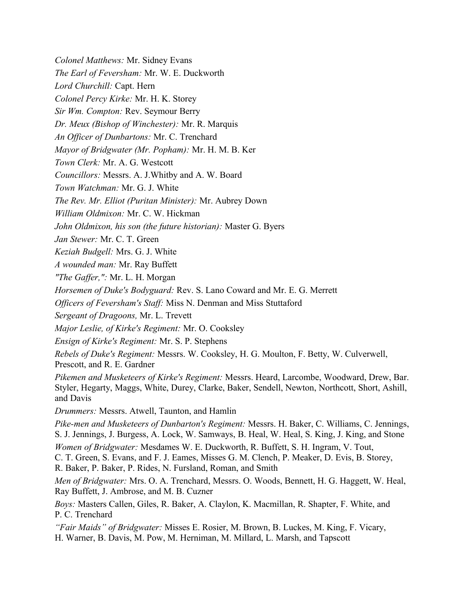Horsemen of Duke's Bodyguard: Rev. S. Lano Coward and Mr. E. G. Merrett Sergeant of Dragoons, Mr. L. Trevett *Ensign of Kirke's Regiment: Mr. S. P. Stephens* Pikemen and Musketeers of Kirke's Regiment: Messrs. Heard, Larcombe, Woodward, Drew, Bar. Men of Bridgwater: Mrs. O. A. Trenchard, Messrs. O. Woods, Bennett, H. G. Haggett, W. Heal,

The Rev. Mr. Elliot (Puritan Minister): Mr. Aubrey Down

Councillors: Messrs. A. J. Whitby and A. W. Board

William Oldmixon: Mr. C. W. Hickman

Colonel Matthews: Mr. Sidney Evans

Colonel Percy Kirke: Mr. H. K. Storey Sir Wm. Compton: Rev. Seymour Berry

Lord Churchill: Capt. Hern

The Earl of Feversham: Mr. W. E. Duckworth

Dr. Meux (Bishop of Winchester): Mr. R. Marquis

Mayor of Bridgwater (Mr. Popham): Mr. H. M. B. Ker

An Officer of Dunbartons: Mr. C. Trenchard

John Oldmixon, his son (the future historian): Master G. Byers

Jan Stewer: Mr. C. T. Green

Keziah Budgell: Mrs. G. J. White

Town Clerk: Mr. A. G. Westcott

Town Watchman: Mr. G. J. White

A wounded man: Mr. Ray Buffett

"The Gaffer,": Mr. L. H. Morgan

*Officers of Feversham's Staff:* Miss N. Denman and Miss Stuttaford

Major Leslie, of Kirke's Regiment: Mr. O. Cooksley

Rebels of Duke's Regiment: Messrs. W. Cooksley, H. G. Moulton, F. Betty, W. Culverwell, Prescott, and R. E. Gardner

Styler, Hegarty, Maggs, White, Durey, Clarke, Baker, Sendell, Newton, Northcott, Short, Ashill, and Davis

*Drummers:* Messrs. Atwell, Taunton, and Hamlin

Pike-men and Musketeers of Dunbarton's Regiment: Messrs. H. Baker, C. Williams, C. Jennings, S. J. Jennings, J. Burgess, A. Lock, W. Samways, B. Heal, W. Heal, S. King, J. King, and Stone Women of Bridgwater: Mesdames W. E. Duckworth, R. Buffett, S. H. Ingram, V. Tout,

C. T. Green, S. Evans, and F. J. Eames, Misses G. M. Clench, P. Meaker, D. Evis, B. Storey, R. Baker, P. Baker, P. Rides, N. Fursland, Roman, and Smith

Ray Buffett, J. Ambrose, and M. B. Cuzner

Boys: Masters Callen, Giles, R. Baker, A. Claylon, K. Macmillan, R. Shapter, F. White, and P. C. Trenchard

"Fair Maids" of Bridgwater: Misses E. Rosier, M. Brown, B. Luckes, M. King, F. Vicary, H. Warner, B. Davis, M. Pow, M. Herniman, M. Millard, L. Marsh, and Tapscott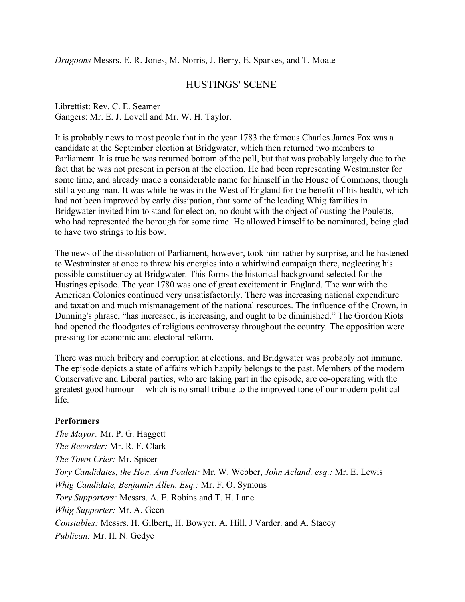Dragoons Messrs. E. R. Jones, M. Norris, J. Berry, E. Sparkes, and T. Moate

# **HUSTINGS' SCENE**

Librettist: Rev. C. E. Seamer Gangers: Mr. E. J. Lovell and Mr. W. H. Taylor.

It is probably news to most people that in the year 1783 the famous Charles James Fox was a candidate at the September election at Bridgwater, which then returned two members to Parliament. It is true he was returned bottom of the poll, but that was probably largely due to the fact that he was not present in person at the election. He had been representing Westminster for some time, and already made a considerable name for himself in the House of Commons, though still a young man. It was while he was in the West of England for the benefit of his health, which had not been improved by early dissipation, that some of the leading Whig families in Bridgwater invited him to stand for election, no doubt with the object of ousting the Pouletts, who had represented the borough for some time. He allowed himself to be nominated, being glad to have two strings to his bow.

The news of the dissolution of Parliament, however, took him rather by surprise, and he hastened to Westminster at once to throw his energies into a whirlwind campaign there, neglecting his possible constituency at Bridgwater. This forms the historical background selected for the Hustings episode. The year 1780 was one of great excitement in England. The war with the American Colonies continued very unsatisfactorily. There was increasing national expenditure and taxation and much mismanagement of the national resources. The influence of the Crown, in Dunning's phrase, "has increased, is increasing, and ought to be diminished." The Gordon Riots had opened the floodgates of religious controversy throughout the country. The opposition were pressing for economic and electoral reform.

There was much bribery and corruption at elections, and Bridgwater was probably not immune. The episode depicts a state of affairs which happily belongs to the past. Members of the modern Conservative and Liberal parties, who are taking part in the episode, are co-operating with the greatest good humour— which is no small tribute to the improved tone of our modern political life

### **Performers**

The Mayor: Mr. P. G. Haggett *The Recorder:* Mr. R. F. Clark The Town Crier: Mr. Spicer Tory Candidates, the Hon. Ann Poulett: Mr. W. Webber, John Acland, esq.: Mr. E. Lewis Whig Candidate, Benjamin Allen. Esq.: Mr. F. O. Symons Tory Supporters: Messrs. A. E. Robins and T. H. Lane Whig Supporter: Mr. A. Geen Constables: Messrs. H. Gilbert, H. Bowyer, A. Hill, J Varder. and A. Stacey Publican: Mr. II. N. Gedye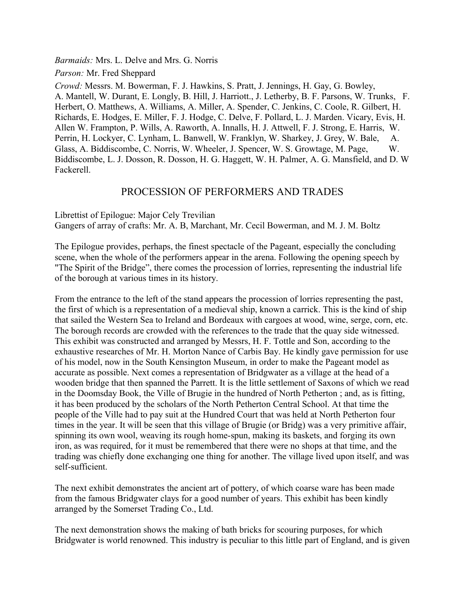*Barmaids:* Mrs. L. Delve and Mrs. G. Norris

Parson: Mr. Fred Sheppard

Crowd: Messrs. M. Bowerman, F. J. Hawkins, S. Pratt, J. Jennings, H. Gay, G. Bowley, A. Mantell, W. Durant, E. Longly, B. Hill, J. Harriott., J. Letherby, B. F. Parsons, W. Trunks, F. Herbert, O. Matthews, A. Williams, A. Miller, A. Spender, C. Jenkins, C. Coole, R. Gilbert, H. Richards, E. Hodges, E. Miller, F. J. Hodge, C. Delve, F. Pollard, L. J. Marden. Vicary, Evis, H. Allen W. Frampton, P. Wills, A. Raworth, A. Innalls, H. J. Attwell, F. J. Strong, E. Harris, W. Perrin, H. Lockyer, C. Lynham, L. Banwell, W. Franklyn, W. Sharkey, J. Grey, W. Bale, A. Glass, A. Biddiscombe, C. Norris, W. Wheeler, J. Spencer, W. S. Growtage, M. Page, W Biddiscombe, L. J. Dosson, R. Dosson, H. G. Haggett, W. H. Palmer, A. G. Mansfield, and D. W. Fackerell

## PROCESSION OF PERFORMERS AND TRADES

Librettist of Epilogue: Major Cely Trevilian Gangers of array of crafts: Mr. A. B, Marchant, Mr. Cecil Bowerman, and M. J. M. Boltz

The Epilogue provides, perhaps, the finest spectacle of the Pageant, especially the concluding scene, when the whole of the performers appear in the arena. Following the opening speech by "The Spirit of the Bridge", there comes the procession of lorries, representing the industrial life of the borough at various times in its history.

From the entrance to the left of the stand appears the procession of lorries representing the past, the first of which is a representation of a medieval ship, known a carrick. This is the kind of ship that sailed the Western Sea to Ireland and Bordeaux with cargoes at wood, wine, serge, corn, etc. The borough records are crowded with the references to the trade that the quay side witnessed. This exhibit was constructed and arranged by Messrs, H. F. Tottle and Son, according to the exhaustive researches of Mr. H. Morton Nance of Carbis Bay. He kindly gave permission for use of his model, now in the South Kensington Museum, in order to make the Pageant model as accurate as possible. Next comes a representation of Bridgwater as a village at the head of a wooden bridge that then spanned the Parrett. It is the little settlement of Saxons of which we read in the Doomsday Book, the Ville of Brugie in the hundred of North Petherton; and, as is fitting, it has been produced by the scholars of the North Petherton Central School. At that time the people of the Ville had to pay suit at the Hundred Court that was held at North Petherton four times in the year. It will be seen that this village of Brugie (or Bridg) was a very primitive affair, spinning its own wool, weaving its rough home-spun, making its baskets, and forging its own iron, as was required, for it must be remembered that there were no shops at that time, and the trading was chiefly done exchanging one thing for another. The village lived upon itself, and was self-sufficient.

The next exhibit demonstrates the ancient art of pottery, of which coarse ware has been made from the famous Bridgwater clays for a good number of years. This exhibit has been kindly arranged by the Somerset Trading Co., Ltd.

The next demonstration shows the making of bath bricks for scouring purposes, for which Bridgwater is world renowned. This industry is peculiar to this little part of England, and is given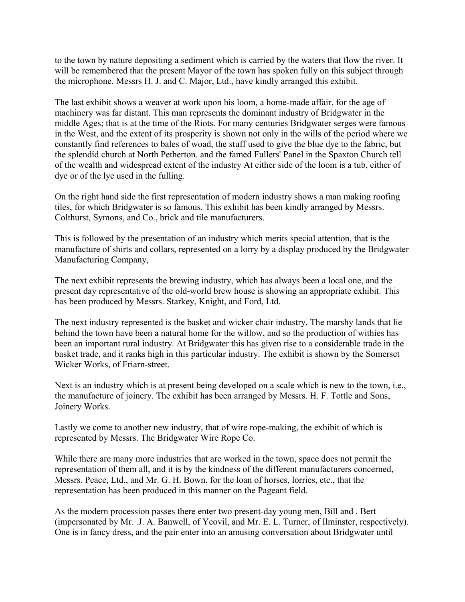to the town by nature depositing a sediment which is carried by the waters that flow the river. It will be remembered that the present Mayor of the town has spoken fully on this subject through the microphone. Messrs H. J. and C. Major, Ltd., have kindly arranged this exhibit.

The last exhibit shows a weaver at work upon his loom, a home-made affair, for the age of machinery was far distant. This man represents the dominant industry of Bridgwater in the middle Ages; that is at the time of the Riots. For many centuries Bridgwater serges were famous in the West, and the extent of its prosperity is shown not only in the wills of the period where we constantly find references to bales of woad, the stuff used to give the blue dye to the fabric, but the splendid church at North Petherton, and the famed Fullers' Panel in the Spaxton Church tell of the wealth and widespread extent of the industry At either side of the loom is a tub, either of dye or of the lye used in the fulling.

On the right hand side the first representation of modern industry shows a man making roofing tiles, for which Bridgwater is so famous. This exhibit has been kindly arranged by Messrs. Colthurst, Symons, and Co., brick and tile manufacturers.

This is followed by the presentation of an industry which merits special attention, that is the manufacture of shirts and collars, represented on a lorry by a display produced by the Bridgwater Manufacturing Company,

The next exhibit represents the brewing industry, which has always been a local one, and the present day representative of the old-world brew house is showing an appropriate exhibit. This has been produced by Messrs. Starkey, Knight, and Ford, Ltd.

The next industry represented is the basket and wicker chair industry. The marshy lands that lie behind the town have been a natural home for the willow, and so the production of withies has been an important rural industry. At Bridgwater this has given rise to a considerable trade in the basket trade, and it ranks high in this particular industry. The exhibit is shown by the Somerset Wicker Works, of Friarn-street.

Next is an industry which is at present being developed on a scale which is new to the town, i.e., the manufacture of joinery. The exhibit has been arranged by Messrs. H. F. Tottle and Sons, Joinery Works.

Lastly we come to another new industry, that of wire rope-making, the exhibit of which is represented by Messrs. The Bridgwater Wire Rope Co.

While there are many more industries that are worked in the town, space does not permit the representation of them all, and it is by the kindness of the different manufacturers concerned, Messrs. Peace, Ltd., and Mr. G. H. Bown, for the loan of horses, lorries, etc., that the representation has been produced in this manner on the Pageant field.

As the modern procession passes there enter two present-day young men, Bill and . Bert (impersonated by Mr. J. A. Banwell, of Yeovil, and Mr. E. L. Turner, of Ilminster, respectively). One is in fancy dress, and the pair enter into an amusing conversation about Bridgwater until